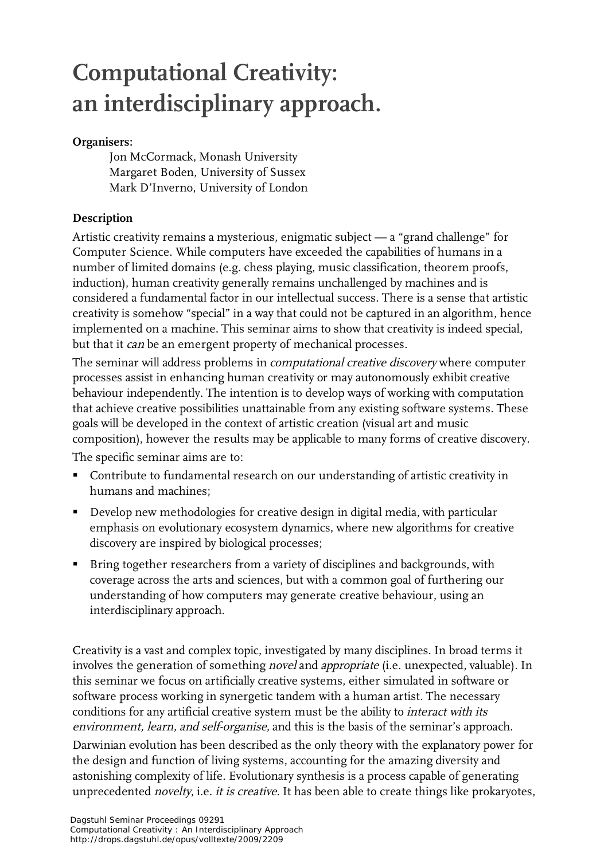## **Computational Creativity: an interdisciplinary approach.**

## **Organisers:**

Jon McCormack, Monash University Margaret Boden, University of Sussex Mark D'Inverno, University of London

## **Description**

Artistic creativity remains a mysterious, enigmatic subject — a "grand challenge" for Computer Science. While computers have exceeded the capabilities of humans in a number of limited domains (e.g. chess playing, music classification, theorem proofs, induction), human creativity generally remains unchallenged by machines and is considered a fundamental factor in our intellectual success. There is a sense that artistic creativity is somehow "special" in a way that could not be captured in an algorithm, hence implemented on a machine. This seminar aims to show that creativity is indeed special, but that it *can* be an emergent property of mechanical processes.

The seminar will address problems in computational creative discovery where computer processes assist in enhancing human creativity or may autonomously exhibit creative behaviour independently. The intention is to develop ways of working with computation that achieve creative possibilities unattainable from any existing software systems. These goals will be developed in the context of artistic creation (visual art and music composition), however the results may be applicable to many forms of creative discovery.

The specific seminar aims are to:

- Contribute to fundamental research on our understanding of artistic creativity in humans and machines;
- Develop new methodologies for creative design in digital media, with particular emphasis on evolutionary ecosystem dynamics, where new algorithms for creative discovery are inspired by biological processes;
- **Bring together researchers from a variety of disciplines and backgrounds, with** coverage across the arts and sciences, but with a common goal of furthering our understanding of how computers may generate creative behaviour, using an interdisciplinary approach.

Creativity is a vast and complex topic, investigated by many disciplines. In broad terms it involves the generation of something *novel* and *appropriate* (i.e. unexpected, valuable). In this seminar we focus on artificially creative systems, either simulated in software or software process working in synergetic tandem with a human artist. The necessary conditions for any artificial creative system must be the ability to interact with its environment, learn, and self-organise, and this is the basis of the seminar's approach.

Darwinian evolution has been described as the only theory with the explanatory power for the design and function of living systems, accounting for the amazing diversity and astonishing complexity of life. Evolutionary synthesis is a process capable of generating unprecedented *novelty*, i.e. *it is creative*. It has been able to create things like prokaryotes,